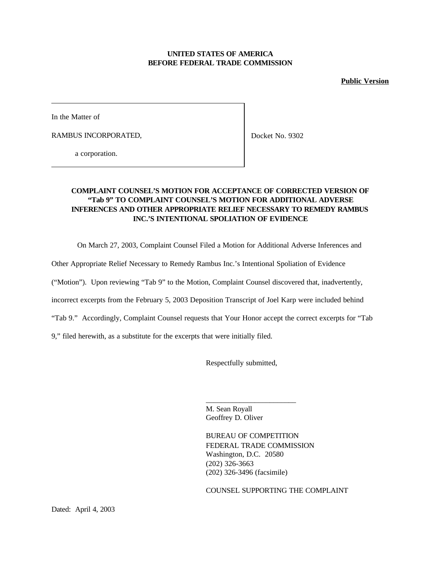## **UNITED STATES OF AMERICA BEFORE FEDERAL TRADE COMMISSION**

### **Public Version**

In the Matter of

RAMBUS INCORPORATED,

Docket No. 9302

a corporation.

## **COMPLAINT COUNSEL'S MOTION FOR ACCEPTANCE OF CORRECTED VERSION OF "Tab 9" TO COMPLAINT COUNSEL'S MOTION FOR ADDITIONAL ADVERSE INFERENCES AND OTHER APPROPRIATE RELIEF NECESSARY TO REMEDY RAMBUS INC.'S INTENTIONAL SPOLIATION OF EVIDENCE**

On March 27, 2003, Complaint Counsel Filed a Motion for Additional Adverse Inferences and

Other Appropriate Relief Necessary to Remedy Rambus Inc.'s Intentional Spoliation of Evidence

("Motion"). Upon reviewing "Tab 9" to the Motion, Complaint Counsel discovered that, inadvertently,

incorrect excerpts from the February 5, 2003 Deposition Transcript of Joel Karp were included behind

"Tab 9." Accordingly, Complaint Counsel requests that Your Honor accept the correct excerpts for "Tab

9," filed herewith, as a substitute for the excerpts that were initially filed.

Respectfully submitted,

\_\_\_\_\_\_\_\_\_\_\_\_\_\_\_\_\_\_\_\_\_\_\_\_

M. Sean Royall Geoffrey D. Oliver

BUREAU OF COMPETITION FEDERAL TRADE COMMISSION Washington, D.C. 20580 (202) 326-3663 (202) 326-3496 (facsimile)

COUNSEL SUPPORTING THE COMPLAINT

Dated: April 4, 2003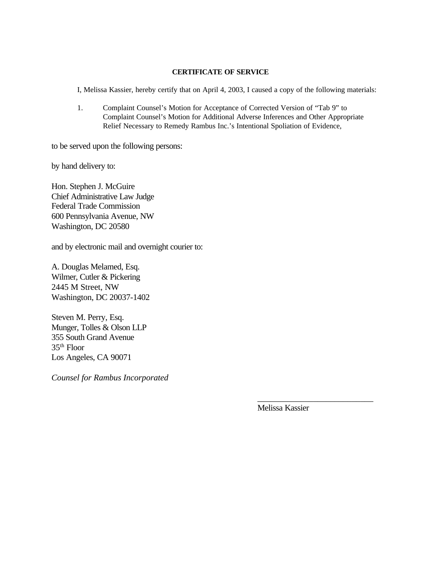### **CERTIFICATE OF SERVICE**

I, Melissa Kassier, hereby certify that on April 4, 2003, I caused a copy of the following materials:

1. Complaint Counsel's Motion for Acceptance of Corrected Version of "Tab 9" to Complaint Counsel's Motion for Additional Adverse Inferences and Other Appropriate Relief Necessary to Remedy Rambus Inc.'s Intentional Spoliation of Evidence,

to be served upon the following persons:

by hand delivery to:

Hon. Stephen J. McGuire Chief Administrative Law Judge Federal Trade Commission 600 Pennsylvania Avenue, NW Washington, DC 20580

and by electronic mail and overnight courier to:

A. Douglas Melamed, Esq. Wilmer, Cutler & Pickering 2445 M Street, NW Washington, DC 20037-1402

Steven M. Perry, Esq. Munger, Tolles & Olson LLP 355 South Grand Avenue 35th Floor Los Angeles, CA 90071

*Counsel for Rambus Incorporated*

Melissa Kassier

\_\_\_\_\_\_\_\_\_\_\_\_\_\_\_\_\_\_\_\_\_\_\_\_\_\_\_